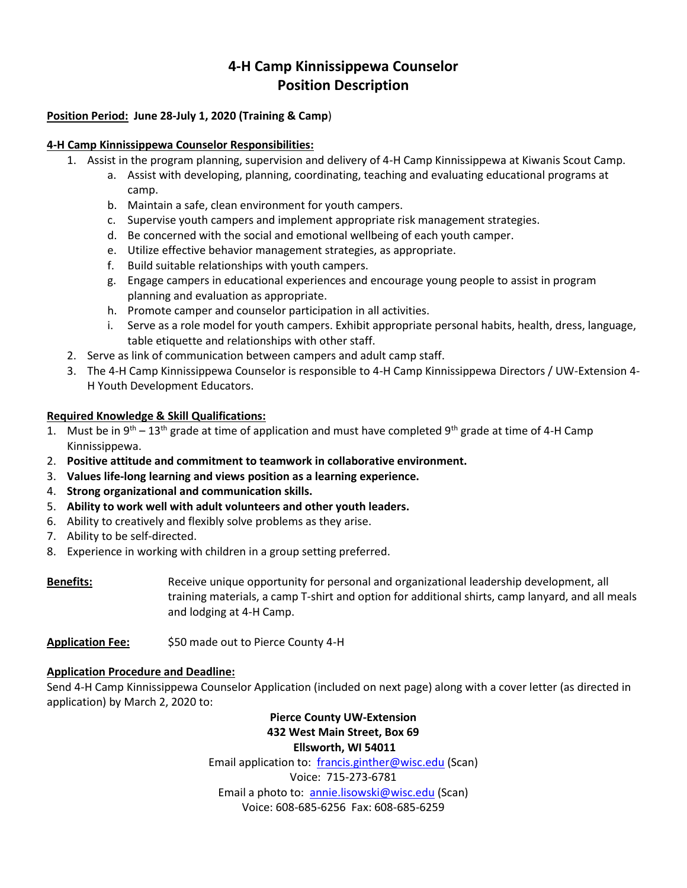# **4-H Camp Kinnissippewa Counselor Position Description**

# **Position Period: June 28-July 1, 2020 (Training & Camp**)

#### **4-H Camp Kinnissippewa Counselor Responsibilities:**

- 1. Assist in the program planning, supervision and delivery of 4-H Camp Kinnissippewa at Kiwanis Scout Camp.
	- a. Assist with developing, planning, coordinating, teaching and evaluating educational programs at camp.
	- b. Maintain a safe, clean environment for youth campers.
	- c. Supervise youth campers and implement appropriate risk management strategies.
	- d. Be concerned with the social and emotional wellbeing of each youth camper.
	- e. Utilize effective behavior management strategies, as appropriate.
	- f. Build suitable relationships with youth campers.
	- g. Engage campers in educational experiences and encourage young people to assist in program planning and evaluation as appropriate.
	- h. Promote camper and counselor participation in all activities.
	- i. Serve as a role model for youth campers. Exhibit appropriate personal habits, health, dress, language, table etiquette and relationships with other staff.
- 2. Serve as link of communication between campers and adult camp staff.
- 3. The 4-H Camp Kinnissippewa Counselor is responsible to 4-H Camp Kinnissippewa Directors / UW-Extension 4- H Youth Development Educators.

## **Required Knowledge & Skill Qualifications:**

- 1. Must be in  $9^{th} 13^{th}$  grade at time of application and must have completed  $9^{th}$  grade at time of 4-H Camp Kinnissippewa.
- 2. **Positive attitude and commitment to teamwork in collaborative environment.**
- 3. **Values life-long learning and views position as a learning experience.**
- 4. **Strong organizational and communication skills.**
- 5. **Ability to work well with adult volunteers and other youth leaders.**
- 6. Ability to creatively and flexibly solve problems as they arise.
- 7. Ability to be self-directed.
- 8. Experience in working with children in a group setting preferred.

**Benefits:** Receive unique opportunity for personal and organizational leadership development, all training materials, a camp T-shirt and option for additional shirts, camp lanyard, and all meals and lodging at 4-H Camp.

**Application Fee:** \$50 made out to Pierce County 4-H

#### **Application Procedure and Deadline:**

Send 4-H Camp Kinnissippewa Counselor Application (included on next page) along with a cover letter (as directed in application) by March 2, 2020 to:

# **Pierce County UW-Extension 432 West Main Street, Box 69 Ellsworth, WI 54011**

Email application to: [francis.ginther@wisc.edu](mailto:francis.ginther@wisc.edu) (Scan) Voice: 715-273-6781 Email a photo to: [annie.lisowski@wisc.edu](mailto:annie.lisowski@wisc.edu) (Scan) Voice: 608-685-6256 Fax: 608-685-6259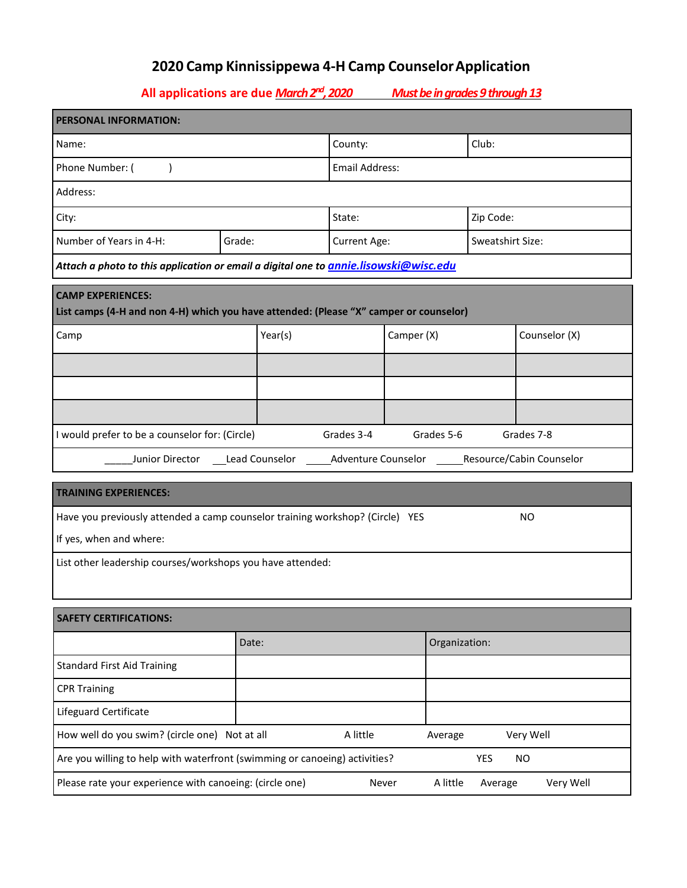# **2020 Camp Kinnissippewa 4-H Camp CounselorApplication**

**All applications are due** *March 2nd, 2020 Must be in grades 9 through 13*

| PERSONAL INFORMATION:                                                                                              |                       |              |            |               |                  |  |  |  |  |
|--------------------------------------------------------------------------------------------------------------------|-----------------------|--------------|------------|---------------|------------------|--|--|--|--|
| Name:                                                                                                              | Club:<br>County:      |              |            |               |                  |  |  |  |  |
| Phone Number: (                                                                                                    | <b>Email Address:</b> |              |            |               |                  |  |  |  |  |
| Address:                                                                                                           |                       |              |            |               |                  |  |  |  |  |
| City:                                                                                                              |                       | State:       |            |               | Zip Code:        |  |  |  |  |
| Number of Years in 4-H:                                                                                            | Grade:                | Current Age: |            |               | Sweatshirt Size: |  |  |  |  |
| Attach a photo to this application or email a digital one to <u>annie.lisowski@wisc.edu</u>                        |                       |              |            |               |                  |  |  |  |  |
| <b>CAMP EXPERIENCES:</b><br>List camps (4-H and non 4-H) which you have attended: (Please "X" camper or counselor) |                       |              |            |               |                  |  |  |  |  |
| Camp                                                                                                               | Year(s)               | Camper (X)   |            |               | Counselor (X)    |  |  |  |  |
|                                                                                                                    |                       |              |            |               |                  |  |  |  |  |
|                                                                                                                    |                       |              |            |               |                  |  |  |  |  |
|                                                                                                                    |                       |              |            |               |                  |  |  |  |  |
| I would prefer to be a counselor for: (Circle)                                                                     |                       | Grades 3-4   | Grades 5-6 |               | Grades 7-8       |  |  |  |  |
| Junior Director ____Lead Counselor _____________Adventure Counselor ___________Resource/Cabin Counselor            |                       |              |            |               |                  |  |  |  |  |
| <b>TRAINING EXPERIENCES:</b>                                                                                       |                       |              |            |               |                  |  |  |  |  |
| Have you previously attended a camp counselor training workshop? (Circle) YES<br>NO.                               |                       |              |            |               |                  |  |  |  |  |
| If yes, when and where:                                                                                            |                       |              |            |               |                  |  |  |  |  |
| List other leadership courses/workshops you have attended:                                                         |                       |              |            |               |                  |  |  |  |  |
|                                                                                                                    |                       |              |            |               |                  |  |  |  |  |
| <b>SAFETY CERTIFICATIONS:</b>                                                                                      |                       |              |            |               |                  |  |  |  |  |
|                                                                                                                    | Date:                 |              |            | Organization: |                  |  |  |  |  |
| <b>Standard First Aid Training</b>                                                                                 |                       |              |            |               |                  |  |  |  |  |
| <b>CPR Training</b>                                                                                                |                       |              |            |               |                  |  |  |  |  |
| Lifeguard Certificate                                                                                              |                       |              |            |               |                  |  |  |  |  |
| How well do you swim? (circle one) Not at all<br>A little<br>Very Well<br>Average                                  |                       |              |            |               |                  |  |  |  |  |
| Are you willing to help with waterfront (swimming or canoeing) activities?                                         |                       |              |            | YES           | <b>NO</b>        |  |  |  |  |
| Please rate your experience with canoeing: (circle one)<br>Very Well<br>A little<br>Never<br>Average               |                       |              |            |               |                  |  |  |  |  |